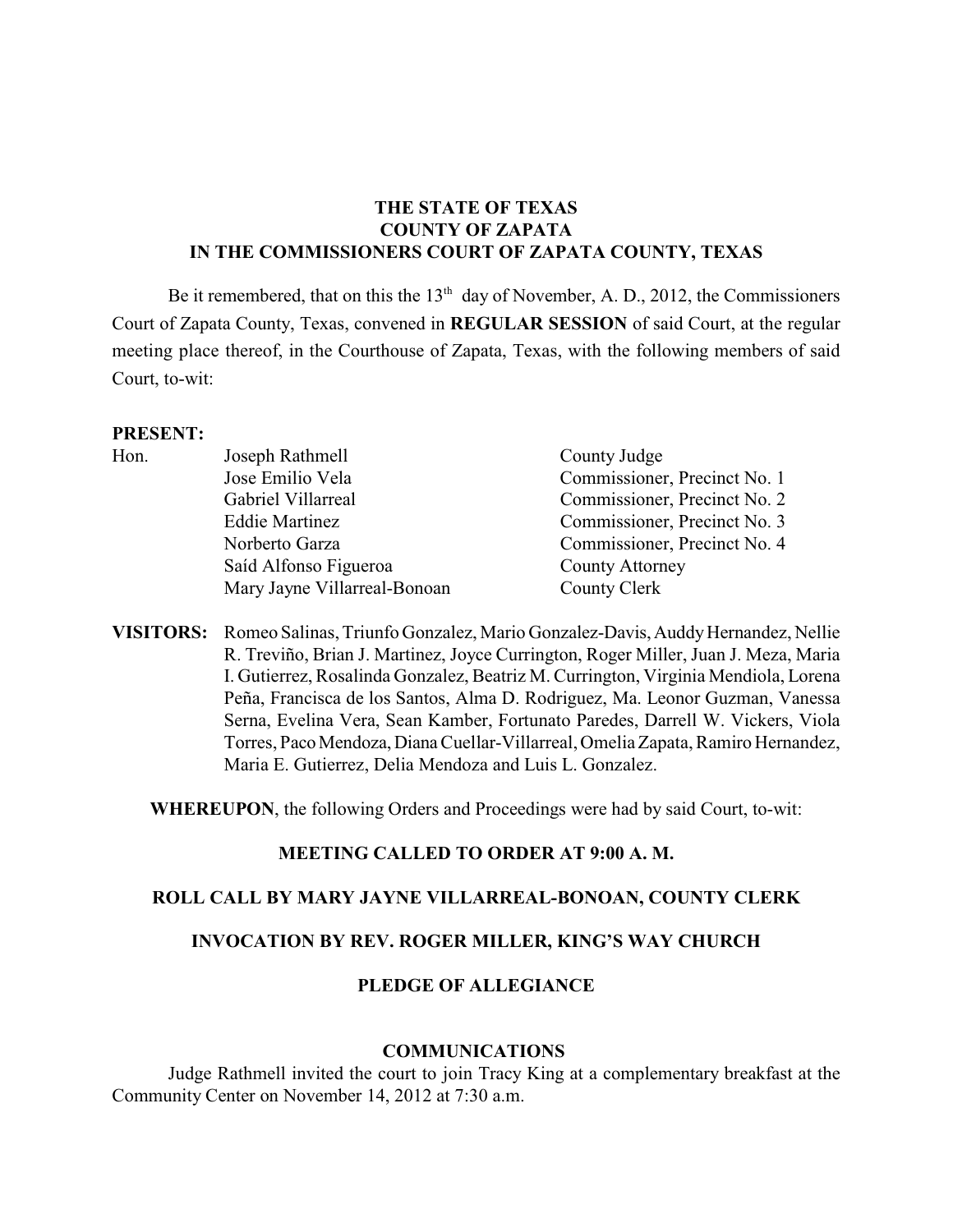# **THE STATE OF TEXAS COUNTY OF ZAPATA IN THE COMMISSIONERS COURT OF ZAPATA COUNTY, TEXAS**

Be it remembered, that on this the  $13<sup>th</sup>$  day of November, A. D., 2012, the Commissioners Court of Zapata County, Texas, convened in **REGULAR SESSION** of said Court, at the regular meeting place thereof, in the Courthouse of Zapata, Texas, with the following members of said Court, to-wit:

#### **PRESENT:**

| Hon. | Joseph Rathmell              | County Judge                 |
|------|------------------------------|------------------------------|
|      | Jose Emilio Vela             | Commissioner, Precinct No. 1 |
|      | Gabriel Villarreal           | Commissioner, Precinct No. 2 |
|      | <b>Eddie Martinez</b>        | Commissioner, Precinct No. 3 |
|      | Norberto Garza               | Commissioner, Precinct No. 4 |
|      | Saíd Alfonso Figueroa        | <b>County Attorney</b>       |
|      | Mary Jayne Villarreal-Bonoan | County Clerk                 |
|      |                              |                              |

**VISITORS:** Romeo Salinas, Triunfo Gonzalez, Mario Gonzalez-Davis, Auddy Hernandez, Nellie R. Treviño, Brian J. Martinez, Joyce Currington, Roger Miller, Juan J. Meza, Maria I. Gutierrez, Rosalinda Gonzalez, Beatriz M. Currington, Virginia Mendiola, Lorena Peña, Francisca de los Santos, Alma D. Rodriguez, Ma. Leonor Guzman, Vanessa Serna, Evelina Vera, Sean Kamber, Fortunato Paredes, Darrell W. Vickers, Viola Torres, Paco Mendoza, Diana Cuellar-Villarreal, Omelia Zapata, Ramiro Hernandez, Maria E. Gutierrez, Delia Mendoza and Luis L. Gonzalez.

**WHEREUPON**, the following Orders and Proceedings were had by said Court, to-wit:

### **MEETING CALLED TO ORDER AT 9:00 A. M.**

### **ROLL CALL BY MARY JAYNE VILLARREAL-BONOAN, COUNTY CLERK**

## **INVOCATION BY REV. ROGER MILLER, KING'S WAY CHURCH**

# **PLEDGE OF ALLEGIANCE**

#### **COMMUNICATIONS**

Judge Rathmell invited the court to join Tracy King at a complementary breakfast at the Community Center on November 14, 2012 at 7:30 a.m.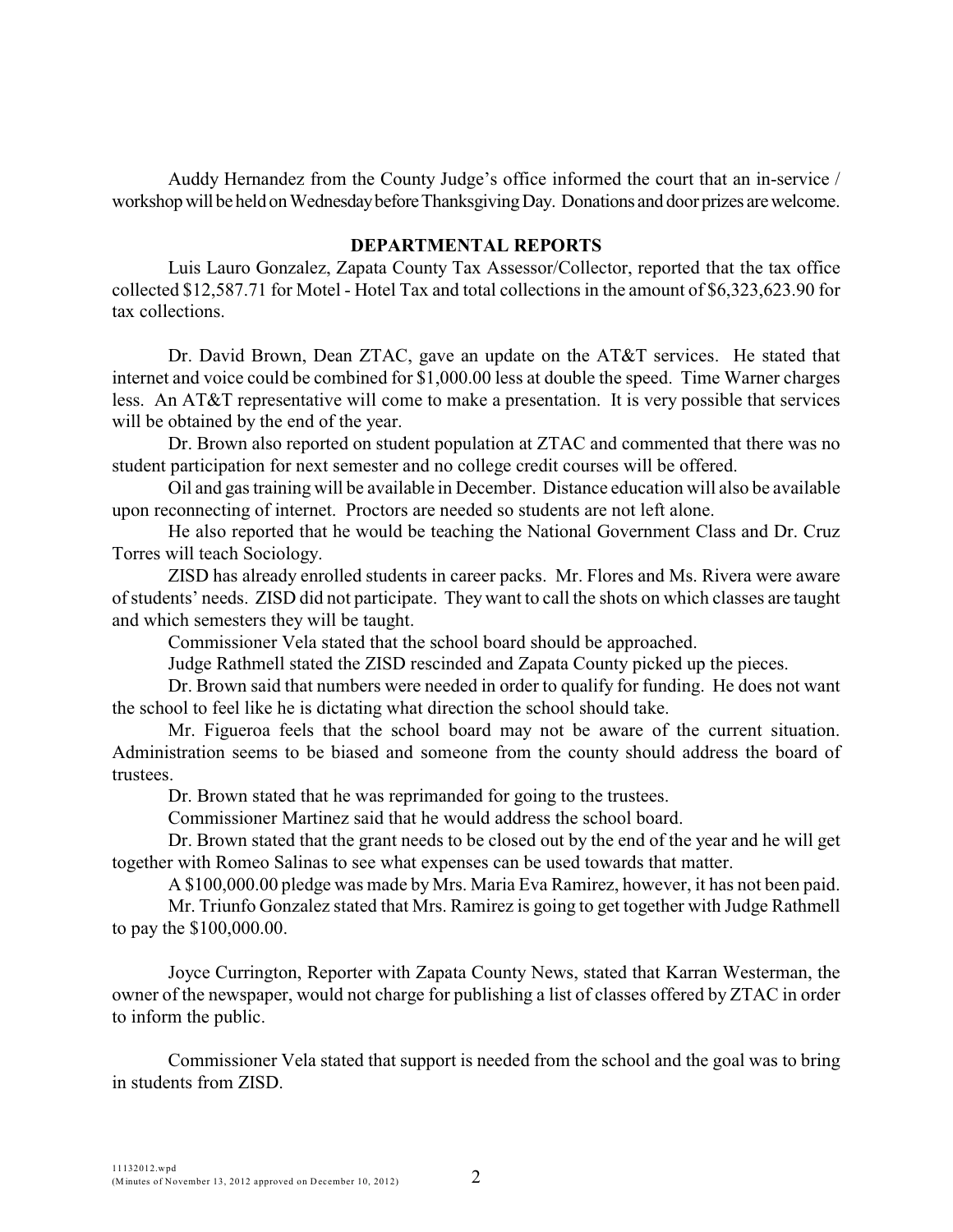Auddy Hernandez from the County Judge's office informed the court that an in-service / workshop will be held on Wednesday before Thanksgiving Day. Donations and door prizes are welcome.

#### **DEPARTMENTAL REPORTS**

Luis Lauro Gonzalez, Zapata County Tax Assessor/Collector, reported that the tax office collected \$12,587.71 for Motel - Hotel Tax and total collections in the amount of \$6,323,623.90 for tax collections.

Dr. David Brown, Dean ZTAC, gave an update on the AT&T services. He stated that internet and voice could be combined for \$1,000.00 less at double the speed. Time Warner charges less. An AT&T representative will come to make a presentation. It is very possible that services will be obtained by the end of the year.

Dr. Brown also reported on student population at ZTAC and commented that there was no student participation for next semester and no college credit courses will be offered.

Oil and gas training will be available in December. Distance education will also be available upon reconnecting of internet. Proctors are needed so students are not left alone.

He also reported that he would be teaching the National Government Class and Dr. Cruz Torres will teach Sociology.

ZISD has already enrolled students in career packs. Mr. Flores and Ms. Rivera were aware of students' needs. ZISD did not participate. They want to call the shots on which classes are taught and which semesters they will be taught.

Commissioner Vela stated that the school board should be approached.

Judge Rathmell stated the ZISD rescinded and Zapata County picked up the pieces.

Dr. Brown said that numbers were needed in order to qualify for funding. He does not want the school to feel like he is dictating what direction the school should take.

Mr. Figueroa feels that the school board may not be aware of the current situation. Administration seems to be biased and someone from the county should address the board of trustees.

Dr. Brown stated that he was reprimanded for going to the trustees.

Commissioner Martinez said that he would address the school board.

Dr. Brown stated that the grant needs to be closed out by the end of the year and he will get together with Romeo Salinas to see what expenses can be used towards that matter.

A \$100,000.00 pledge was made by Mrs. Maria Eva Ramirez, however, it has not been paid.

Mr. Triunfo Gonzalez stated that Mrs. Ramirez is going to get together with Judge Rathmell to pay the \$100,000.00.

Joyce Currington, Reporter with Zapata County News, stated that Karran Westerman, the owner of the newspaper, would not charge for publishing a list of classes offered by ZTAC in order to inform the public.

Commissioner Vela stated that support is needed from the school and the goal was to bring in students from ZISD.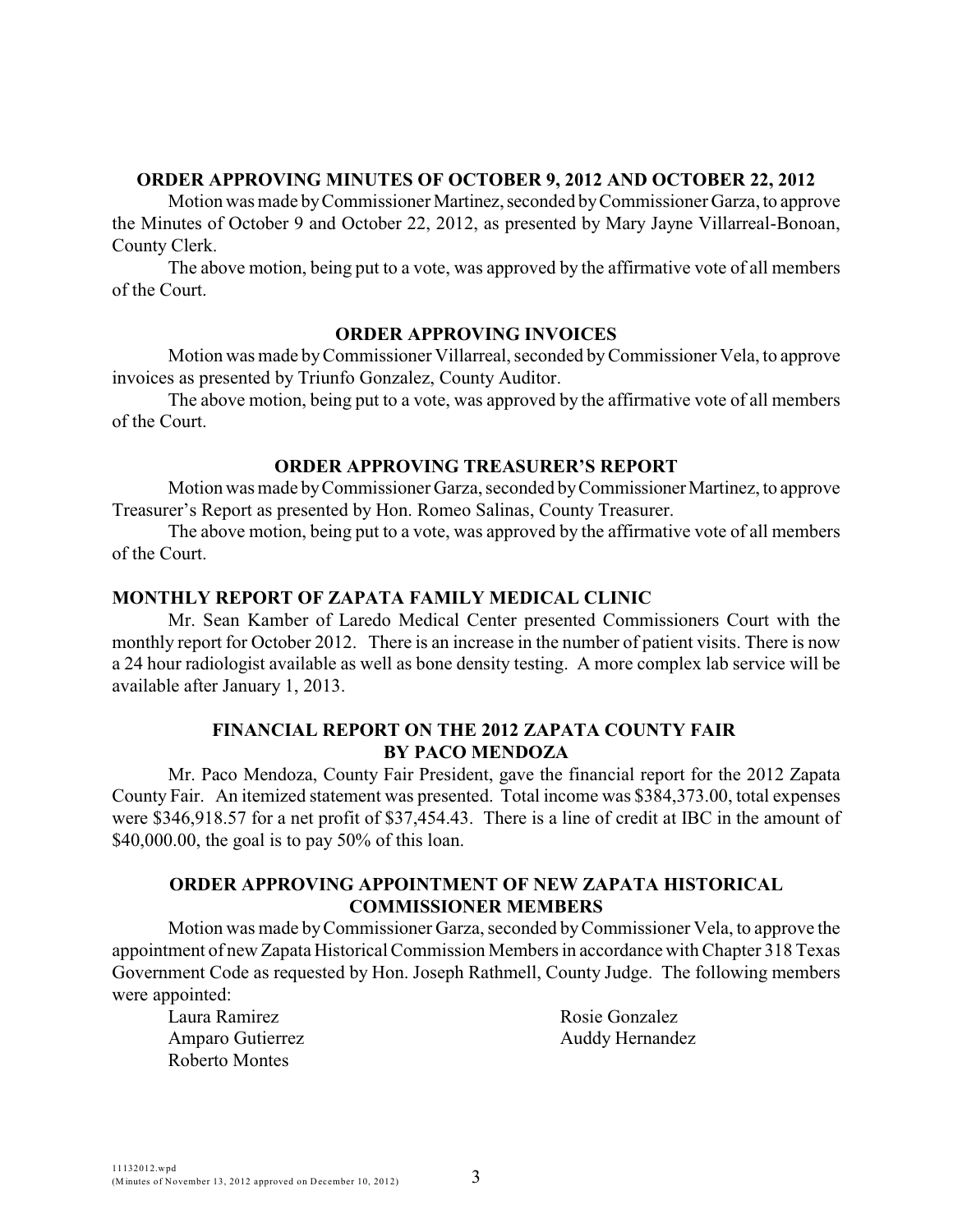### **ORDER APPROVING MINUTES OF OCTOBER 9, 2012 AND OCTOBER 22, 2012**

Motion was made by Commissioner Martinez, seconded by Commissioner Garza, to approve the Minutes of October 9 and October 22, 2012, as presented by Mary Jayne Villarreal-Bonoan, County Clerk.

The above motion, being put to a vote, was approved by the affirmative vote of all members of the Court.

### **ORDER APPROVING INVOICES**

Motion was made byCommissioner Villarreal, seconded byCommissioner Vela, to approve invoices as presented by Triunfo Gonzalez, County Auditor.

The above motion, being put to a vote, was approved by the affirmative vote of all members of the Court.

### **ORDER APPROVING TREASURER'S REPORT**

Motion was made by Commissioner Garza, seconded by Commissioner Martinez, to approve Treasurer's Report as presented by Hon. Romeo Salinas, County Treasurer.

The above motion, being put to a vote, was approved by the affirmative vote of all members of the Court.

### **MONTHLY REPORT OF ZAPATA FAMILY MEDICAL CLINIC**

Mr. Sean Kamber of Laredo Medical Center presented Commissioners Court with the monthly report for October 2012. There is an increase in the number of patient visits. There is now a 24 hour radiologist available as well as bone density testing. A more complex lab service will be available after January 1, 2013.

# **FINANCIAL REPORT ON THE 2012 ZAPATA COUNTY FAIR BY PACO MENDOZA**

Mr. Paco Mendoza, County Fair President, gave the financial report for the 2012 Zapata County Fair. An itemized statement was presented. Total income was \$384,373.00, total expenses were \$346,918.57 for a net profit of \$37,454.43. There is a line of credit at IBC in the amount of \$40,000.00, the goal is to pay  $50\%$  of this loan.

### **ORDER APPROVING APPOINTMENT OF NEW ZAPATA HISTORICAL COMMISSIONER MEMBERS**

Motion was made by Commissioner Garza, seconded by Commissioner Vela, to approve the appointment of new Zapata Historical Commission Members in accordance with Chapter 318 Texas Government Code as requested by Hon. Joseph Rathmell, County Judge. The following members were appointed:

Laura Ramirez Amparo Gutierrez Roberto Montes

Rosie Gonzalez Auddy Hernandez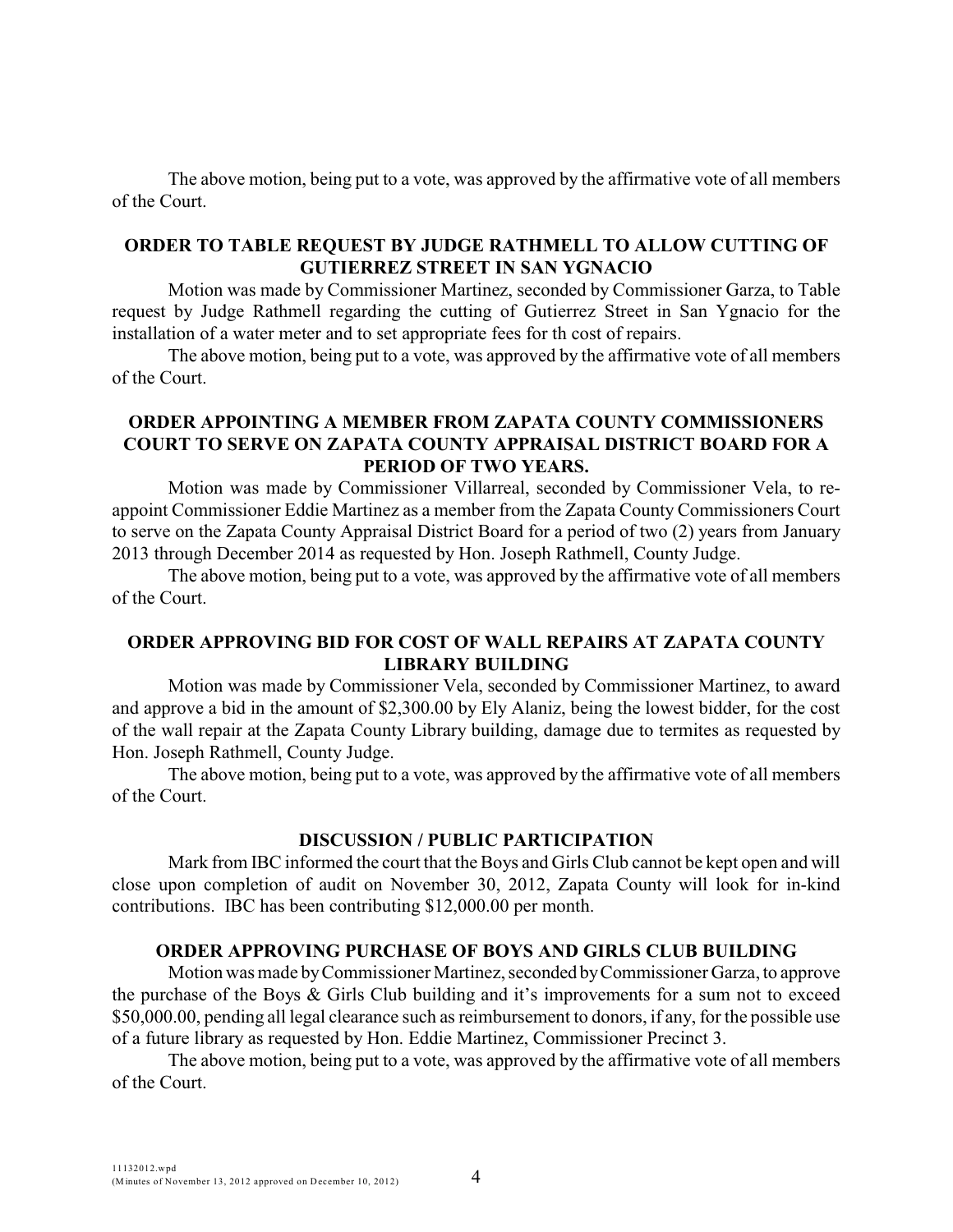The above motion, being put to a vote, was approved by the affirmative vote of all members of the Court.

### **ORDER TO TABLE REQUEST BY JUDGE RATHMELL TO ALLOW CUTTING OF GUTIERREZ STREET IN SAN YGNACIO**

Motion was made by Commissioner Martinez, seconded by Commissioner Garza, to Table request by Judge Rathmell regarding the cutting of Gutierrez Street in San Ygnacio for the installation of a water meter and to set appropriate fees for th cost of repairs.

The above motion, being put to a vote, was approved by the affirmative vote of all members of the Court.

## **ORDER APPOINTING A MEMBER FROM ZAPATA COUNTY COMMISSIONERS COURT TO SERVE ON ZAPATA COUNTY APPRAISAL DISTRICT BOARD FOR A PERIOD OF TWO YEARS.**

Motion was made by Commissioner Villarreal, seconded by Commissioner Vela, to reappoint Commissioner Eddie Martinez as a member from the Zapata County Commissioners Court to serve on the Zapata County Appraisal District Board for a period of two (2) years from January 2013 through December 2014 as requested by Hon. Joseph Rathmell, County Judge.

The above motion, being put to a vote, was approved by the affirmative vote of all members of the Court.

## **ORDER APPROVING BID FOR COST OF WALL REPAIRS AT ZAPATA COUNTY LIBRARY BUILDING**

Motion was made by Commissioner Vela, seconded by Commissioner Martinez, to award and approve a bid in the amount of \$2,300.00 by Ely Alaniz, being the lowest bidder, for the cost of the wall repair at the Zapata County Library building, damage due to termites as requested by Hon. Joseph Rathmell, County Judge.

The above motion, being put to a vote, was approved by the affirmative vote of all members of the Court.

### **DISCUSSION / PUBLIC PARTICIPATION**

Mark from IBC informed the court that the Boys and Girls Club cannot be kept open and will close upon completion of audit on November 30, 2012, Zapata County will look for in-kind contributions. IBC has been contributing \$12,000.00 per month.

### **ORDER APPROVING PURCHASE OF BOYS AND GIRLS CLUB BUILDING**

Motion was made by Commissioner Martinez, seconded by Commissioner Garza, to approve the purchase of the Boys & Girls Club building and it's improvements for a sum not to exceed \$50,000.00, pending all legal clearance such as reimbursement to donors, if any, for the possible use of a future library as requested by Hon. Eddie Martinez, Commissioner Precinct 3.

The above motion, being put to a vote, was approved by the affirmative vote of all members of the Court.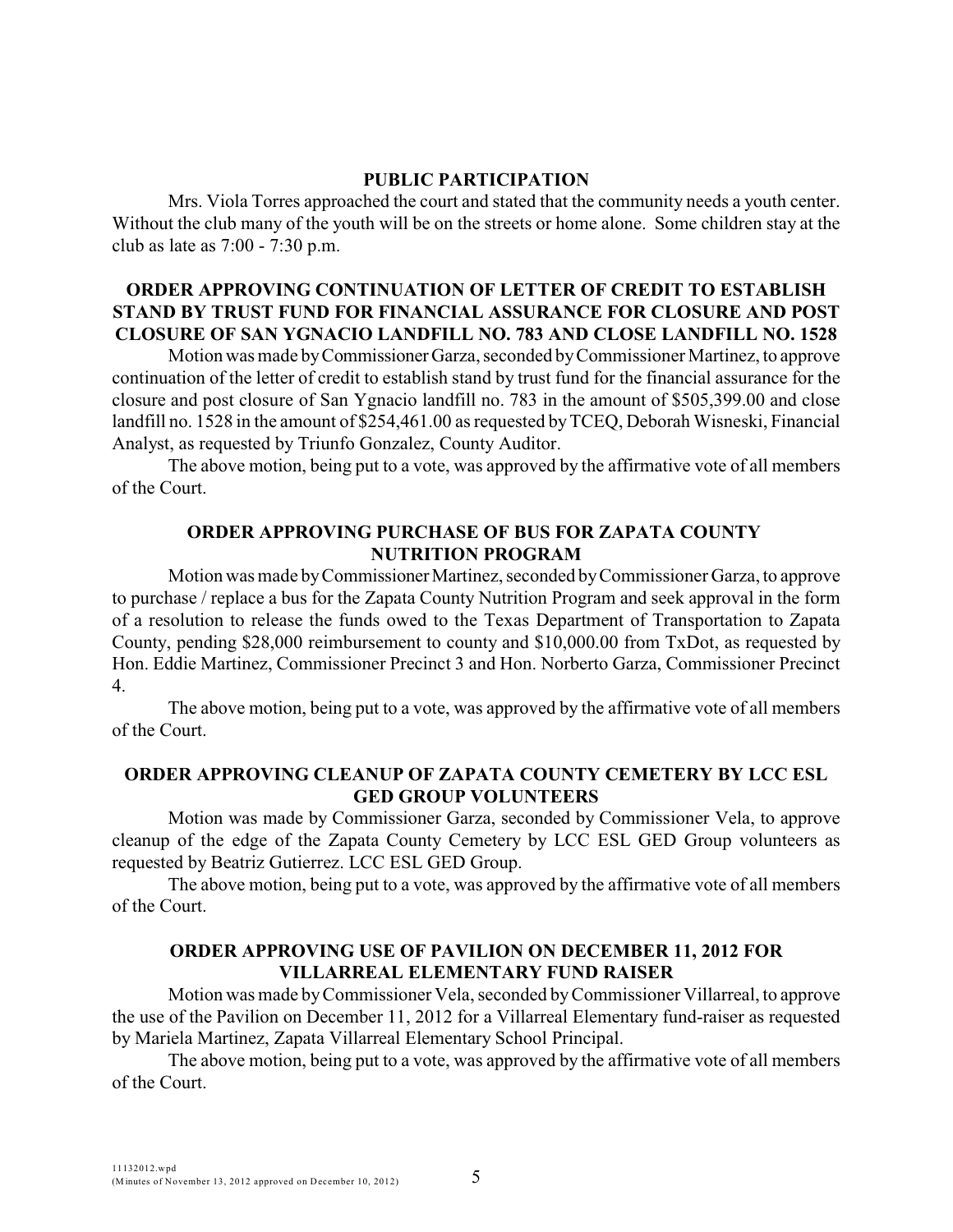### **PUBLIC PARTICIPATION**

Mrs. Viola Torres approached the court and stated that the community needs a youth center. Without the club many of the youth will be on the streets or home alone. Some children stay at the club as late as 7:00 - 7:30 p.m.

# **ORDER APPROVING CONTINUATION OF LETTER OF CREDIT TO ESTABLISH STAND BY TRUST FUND FOR FINANCIAL ASSURANCE FOR CLOSURE AND POST CLOSURE OF SAN YGNACIO LANDFILL NO. 783 AND CLOSE LANDFILL NO. 1528**

Motion was made by Commissioner Garza, seconded by Commissioner Martinez, to approve continuation of the letter of credit to establish stand by trust fund for the financial assurance for the closure and post closure of San Ygnacio landfill no. 783 in the amount of \$505,399.00 and close landfill no. 1528 in the amount of \$254,461.00 as requested by TCEQ, Deborah Wisneski, Financial Analyst, as requested by Triunfo Gonzalez, County Auditor.

The above motion, being put to a vote, was approved by the affirmative vote of all members of the Court.

# **ORDER APPROVING PURCHASE OF BUS FOR ZAPATA COUNTY NUTRITION PROGRAM**

Motion was made by Commissioner Martinez, seconded by Commissioner Garza, to approve to purchase / replace a bus for the Zapata County Nutrition Program and seek approval in the form of a resolution to release the funds owed to the Texas Department of Transportation to Zapata County, pending \$28,000 reimbursement to county and \$10,000.00 from TxDot, as requested by Hon. Eddie Martinez, Commissioner Precinct 3 and Hon. Norberto Garza, Commissioner Precinct 4.

The above motion, being put to a vote, was approved by the affirmative vote of all members of the Court.

### **ORDER APPROVING CLEANUP OF ZAPATA COUNTY CEMETERY BY LCC ESL GED GROUP VOLUNTEERS**

Motion was made by Commissioner Garza, seconded by Commissioner Vela, to approve cleanup of the edge of the Zapata County Cemetery by LCC ESL GED Group volunteers as requested by Beatriz Gutierrez. LCC ESL GED Group.

The above motion, being put to a vote, was approved by the affirmative vote of all members of the Court.

### **ORDER APPROVING USE OF PAVILION ON DECEMBER 11, 2012 FOR VILLARREAL ELEMENTARY FUND RAISER**

Motion was made byCommissioner Vela, seconded byCommissioner Villarreal, to approve the use of the Pavilion on December 11, 2012 for a Villarreal Elementary fund-raiser as requested by Mariela Martinez, Zapata Villarreal Elementary School Principal.

The above motion, being put to a vote, was approved by the affirmative vote of all members of the Court.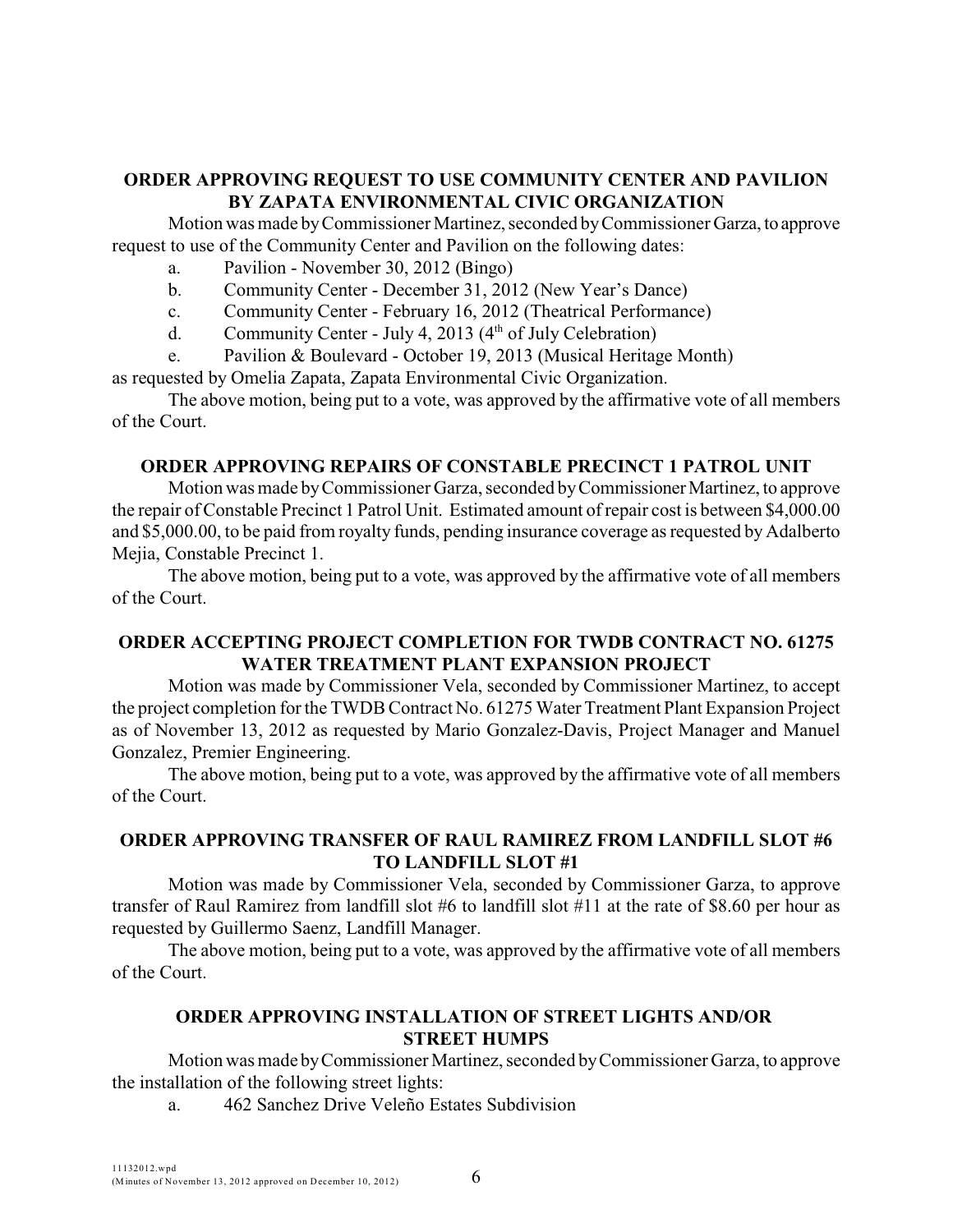## **ORDER APPROVING REQUEST TO USE COMMUNITY CENTER AND PAVILION BY ZAPATA ENVIRONMENTAL CIVIC ORGANIZATION**

Motion was made by Commissioner Martinez, seconded by Commissioner Garza, to approve request to use of the Community Center and Pavilion on the following dates:

- a. Pavilion November 30, 2012 (Bingo)
- b. Community Center December 31, 2012 (New Year's Dance)
- c. Community Center February 16, 2012 (Theatrical Performance)
- d. Community Center July 4, 2013 ( $4<sup>th</sup>$  of July Celebration)
- e. Pavilion & Boulevard October 19, 2013 (Musical Heritage Month)

as requested by Omelia Zapata, Zapata Environmental Civic Organization.

The above motion, being put to a vote, was approved by the affirmative vote of all members of the Court.

### **ORDER APPROVING REPAIRS OF CONSTABLE PRECINCT 1 PATROL UNIT**

Motion was made by Commissioner Garza, seconded by Commissioner Martinez, to approve the repair of Constable Precinct 1 Patrol Unit. Estimated amount of repair cost is between \$4,000.00 and \$5,000.00, to be paid from royalty funds, pending insurance coverage as requested by Adalberto Mejia, Constable Precinct 1.

The above motion, being put to a vote, was approved by the affirmative vote of all members of the Court.

# **ORDER ACCEPTING PROJECT COMPLETION FOR TWDB CONTRACT NO. 61275 WATER TREATMENT PLANT EXPANSION PROJECT**

Motion was made by Commissioner Vela, seconded by Commissioner Martinez, to accept the project completion for the TWDB Contract No. 61275 Water Treatment Plant Expansion Project as of November 13, 2012 as requested by Mario Gonzalez-Davis, Project Manager and Manuel Gonzalez, Premier Engineering.

The above motion, being put to a vote, was approved by the affirmative vote of all members of the Court.

# **ORDER APPROVING TRANSFER OF RAUL RAMIREZ FROM LANDFILL SLOT #6 TO LANDFILL SLOT #1**

Motion was made by Commissioner Vela, seconded by Commissioner Garza, to approve transfer of Raul Ramirez from landfill slot #6 to landfill slot #11 at the rate of \$8.60 per hour as requested by Guillermo Saenz, Landfill Manager.

The above motion, being put to a vote, was approved by the affirmative vote of all members of the Court.

# **ORDER APPROVING INSTALLATION OF STREET LIGHTS AND/OR STREET HUMPS**

Motion was made by Commissioner Martinez, seconded by Commissioner Garza, to approve the installation of the following street lights:

a. 462 Sanchez Drive Veleño Estates Subdivision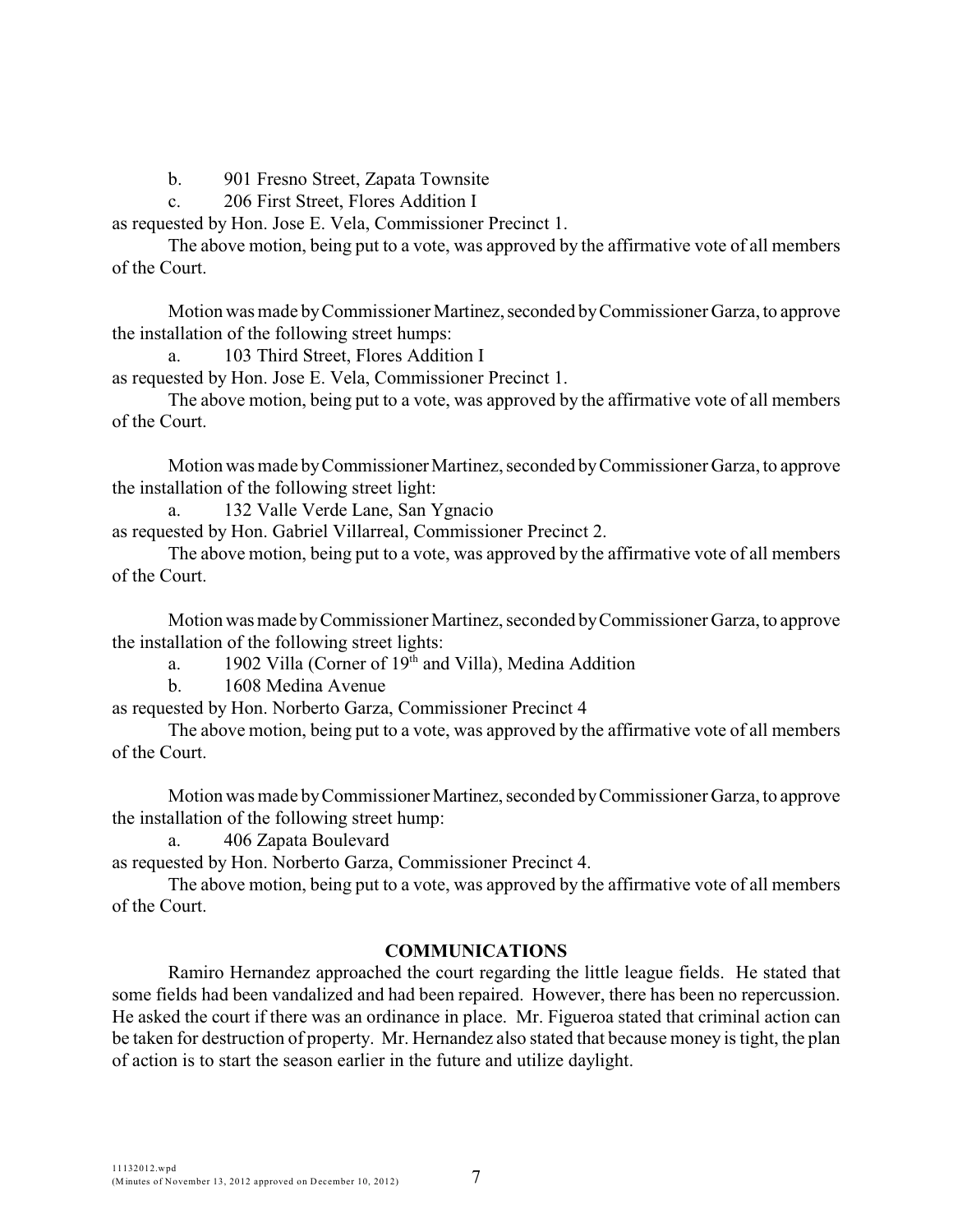b. 901 Fresno Street, Zapata Townsite

c. 206 First Street, Flores Addition I

as requested by Hon. Jose E. Vela, Commissioner Precinct 1.

The above motion, being put to a vote, was approved by the affirmative vote of all members of the Court.

Motion was made by Commissioner Martinez, seconded by Commissioner Garza, to approve the installation of the following street humps:

a. 103 Third Street, Flores Addition I

as requested by Hon. Jose E. Vela, Commissioner Precinct 1.

The above motion, being put to a vote, was approved by the affirmative vote of all members of the Court.

Motion was made by Commissioner Martinez, seconded by Commissioner Garza, to approve the installation of the following street light:

a. 132 Valle Verde Lane, San Ygnacio

as requested by Hon. Gabriel Villarreal, Commissioner Precinct 2.

The above motion, being put to a vote, was approved by the affirmative vote of all members of the Court.

Motion was made by Commissioner Martinez, seconded by Commissioner Garza, to approve the installation of the following street lights:

a. 1902 Villa (Corner of  $19<sup>th</sup>$  and Villa), Medina Addition

b. 1608 Medina Avenue

as requested by Hon. Norberto Garza, Commissioner Precinct 4

The above motion, being put to a vote, was approved by the affirmative vote of all members of the Court.

Motion was made by Commissioner Martinez, seconded by Commissioner Garza, to approve the installation of the following street hump:

a. 406 Zapata Boulevard

as requested by Hon. Norberto Garza, Commissioner Precinct 4.

The above motion, being put to a vote, was approved by the affirmative vote of all members of the Court.

### **COMMUNICATIONS**

Ramiro Hernandez approached the court regarding the little league fields. He stated that some fields had been vandalized and had been repaired. However, there has been no repercussion. He asked the court if there was an ordinance in place. Mr. Figueroa stated that criminal action can be taken for destruction of property. Mr. Hernandez also stated that because money is tight, the plan of action is to start the season earlier in the future and utilize daylight.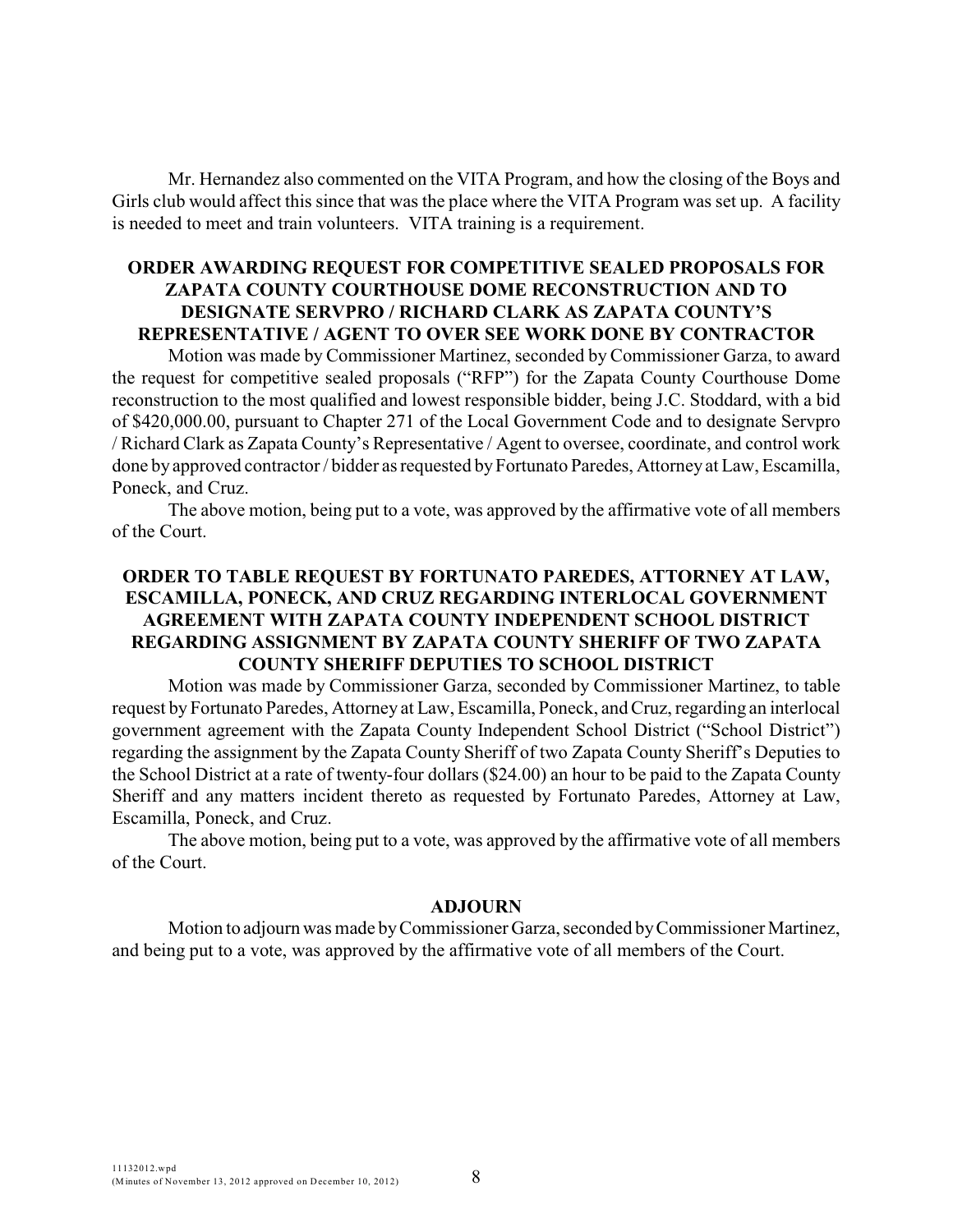Mr. Hernandez also commented on the VITA Program, and how the closing of the Boys and Girls club would affect this since that was the place where the VITA Program was set up. A facility is needed to meet and train volunteers. VITA training is a requirement.

# **ORDER AWARDING REQUEST FOR COMPETITIVE SEALED PROPOSALS FOR ZAPATA COUNTY COURTHOUSE DOME RECONSTRUCTION AND TO DESIGNATE SERVPRO / RICHARD CLARK AS ZAPATA COUNTY'S REPRESENTATIVE / AGENT TO OVER SEE WORK DONE BY CONTRACTOR**

Motion was made by Commissioner Martinez, seconded by Commissioner Garza, to award the request for competitive sealed proposals ("RFP") for the Zapata County Courthouse Dome reconstruction to the most qualified and lowest responsible bidder, being J.C. Stoddard, with a bid of \$420,000.00, pursuant to Chapter 271 of the Local Government Code and to designate Servpro / Richard Clark as Zapata County's Representative / Agent to oversee, coordinate, and control work done by approved contractor / bidder as requested by Fortunato Paredes, Attorney at Law, Escamilla, Poneck, and Cruz.

The above motion, being put to a vote, was approved by the affirmative vote of all members of the Court.

# **ORDER TO TABLE REQUEST BY FORTUNATO PAREDES, ATTORNEY AT LAW, ESCAMILLA, PONECK, AND CRUZ REGARDING INTERLOCAL GOVERNMENT AGREEMENT WITH ZAPATA COUNTY INDEPENDENT SCHOOL DISTRICT REGARDING ASSIGNMENT BY ZAPATA COUNTY SHERIFF OF TWO ZAPATA COUNTY SHERIFF DEPUTIES TO SCHOOL DISTRICT**

Motion was made by Commissioner Garza, seconded by Commissioner Martinez, to table request by Fortunato Paredes, Attorney at Law, Escamilla, Poneck, and Cruz, regarding an interlocal government agreement with the Zapata County Independent School District ("School District") regarding the assignment by the Zapata County Sheriff of two Zapata County Sheriff's Deputies to the School District at a rate of twenty-four dollars (\$24.00) an hour to be paid to the Zapata County Sheriff and any matters incident thereto as requested by Fortunato Paredes, Attorney at Law, Escamilla, Poneck, and Cruz.

The above motion, being put to a vote, was approved by the affirmative vote of all members of the Court.

#### **ADJOURN**

Motion to adjourn was made byCommissioner Garza, seconded by Commissioner Martinez, and being put to a vote, was approved by the affirmative vote of all members of the Court.